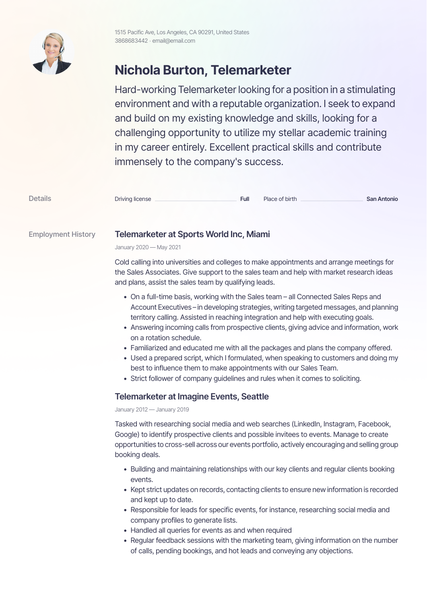

## **Nichola Burton, Telemarketer**

Hard-working Telemarketer looking for a position in a stimulating environment and with a reputable organization. I seek to expand and build on my existing knowledge and skills, looking for a challenging opportunity to utilize my stellar academic training in my career entirely. Excellent practical skills and contribute immensely to the company's success.

| <b>Details</b> | Driving license | Full | Place of birth | San Antonio |
|----------------|-----------------|------|----------------|-------------|
|----------------|-----------------|------|----------------|-------------|

## Employment History **Telemarketer at Sports World Inc, Miami**

January 2020 — May 2021

Cold calling into universities and colleges to make appointments and arrange meetings for the Sales Associates. Give support to the sales team and help with market research ideas and plans, assist the sales team by qualifying leads.

- On a full-time basis, working with the Sales team all Connected Sales Reps and Account Executives – in developing strategies, writing targeted messages, and planning territory calling. Assisted in reaching integration and help with executing goals.
- Answering incoming calls from prospective clients, giving advice and information, work on a rotation schedule.
- Familiarized and educated me with all the packages and plans the company offered.
- Used a prepared script, which I formulated, when speaking to customers and doing my best to influence them to make appointments with our Sales Team.
- Strict follower of company guidelines and rules when it comes to soliciting.

## **Telemarketer at Imagine Events, Seattle**

January 2012 — January 2019

Tasked with researching social media and web searches (LinkedIn, Instagram, Facebook, Google) to identify prospective clients and possible invitees to events. Manage to create opportunities to cross-sell across our events portfolio, actively encouraging and selling group booking deals.

- Building and maintaining relationships with our key clients and regular clients booking events.
- Kept strict updates on records, contacting clients to ensure new information is recorded and kept up to date.
- Responsible for leads for specific events, for instance, researching social media and company profiles to generate lists.
- Handled all queries for events as and when required
- Regular feedback sessions with the marketing team, giving information on the number of calls, pending bookings, and hot leads and conveying any objections.